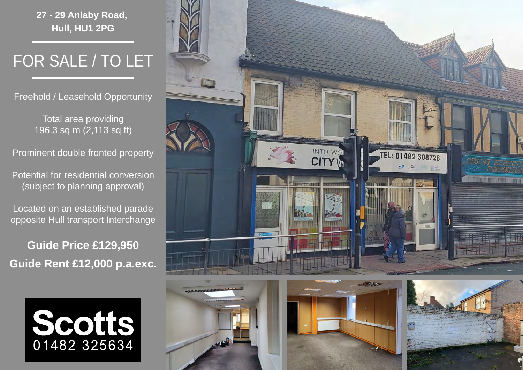**27 - 29 Anlaby Road, Hull, HU1 2PG**

## FOR SALE / TO LET

Freehold / Leasehold Opportunity

Total area providing 196.3 sq m (2,113 sq ft)

Prominent double fronted property

Potential for residential conversion (subject to planning approval)

Located on an established parade opposite Hull transport Interchange

**Guide Price £129,950 Guide Rent £12,000 p.a.exc.**